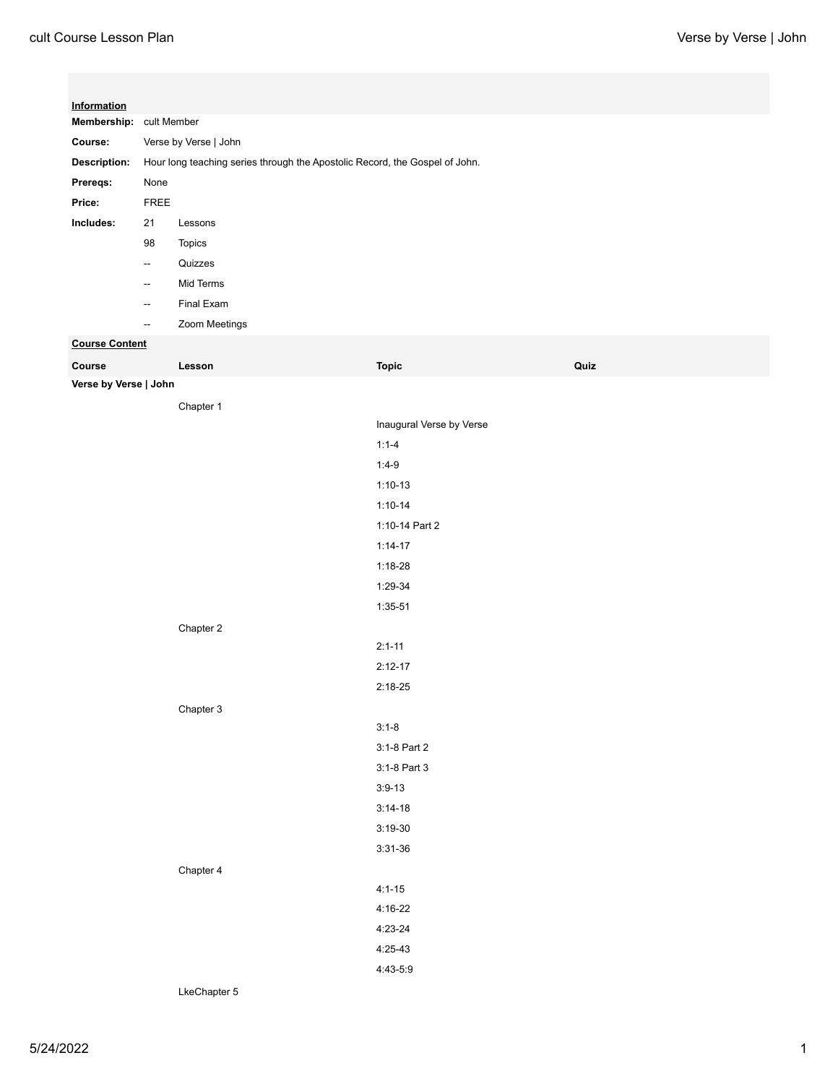| Information           |                                                                             |               |                          |      |  |  |
|-----------------------|-----------------------------------------------------------------------------|---------------|--------------------------|------|--|--|
|                       | Membership: cult Member                                                     |               |                          |      |  |  |
| Course:               | Verse by Verse   John                                                       |               |                          |      |  |  |
| Description:          | Hour long teaching series through the Apostolic Record, the Gospel of John. |               |                          |      |  |  |
| Prereqs:              | None                                                                        |               |                          |      |  |  |
| Price:                | ${\sf FREE}$                                                                |               |                          |      |  |  |
| Includes:             | 21                                                                          | Lessons       |                          |      |  |  |
|                       | 98                                                                          | Topics        |                          |      |  |  |
|                       | $\overline{\phantom{a}}$                                                    | Quizzes       |                          |      |  |  |
|                       | $\overline{\phantom{a}}$                                                    | Mid Terms     |                          |      |  |  |
|                       | $\overline{\phantom{a}}$                                                    | Final Exam    |                          |      |  |  |
|                       | --                                                                          | Zoom Meetings |                          |      |  |  |
| <b>Course Content</b> |                                                                             |               |                          |      |  |  |
| Course                |                                                                             | Lesson        | <b>Topic</b>             | Quiz |  |  |
| Verse by Verse   John |                                                                             |               |                          |      |  |  |
|                       |                                                                             | Chapter 1     |                          |      |  |  |
|                       |                                                                             |               | Inaugural Verse by Verse |      |  |  |
|                       |                                                                             |               | $1:1 - 4$                |      |  |  |
|                       |                                                                             |               | $1:4-9$                  |      |  |  |
|                       |                                                                             |               | $1:10-13$                |      |  |  |
|                       |                                                                             |               | $1:10-14$                |      |  |  |
|                       |                                                                             |               | 1:10-14 Part 2           |      |  |  |
|                       |                                                                             |               | $1:14-17$                |      |  |  |
|                       |                                                                             |               | $1:18-28$                |      |  |  |
|                       |                                                                             |               | 1:29-34                  |      |  |  |
|                       |                                                                             |               | $1:35-51$                |      |  |  |
|                       |                                                                             | Chapter 2     |                          |      |  |  |
|                       |                                                                             |               | $2:1 - 11$               |      |  |  |
|                       |                                                                             |               | $2:12-17$                |      |  |  |
|                       |                                                                             |               | $2:18-25$                |      |  |  |
|                       |                                                                             | Chapter 3     |                          |      |  |  |
|                       |                                                                             |               | $3:1-8$                  |      |  |  |
|                       |                                                                             |               | 3:1-8 Part 2             |      |  |  |
|                       |                                                                             |               | 3:1-8 Part 3             |      |  |  |
|                       |                                                                             |               | $3:9-13$                 |      |  |  |
|                       |                                                                             |               | $3:14-18$                |      |  |  |
|                       |                                                                             |               | $3:19-30$                |      |  |  |
|                       |                                                                             |               | $3:31-36$                |      |  |  |
|                       |                                                                             | Chapter 4     |                          |      |  |  |
|                       |                                                                             |               | $4:1 - 15$               |      |  |  |
|                       |                                                                             |               | $4:16-22$                |      |  |  |
|                       |                                                                             |               | $4:23-24$                |      |  |  |
|                       |                                                                             |               | $4:25-43$                |      |  |  |
|                       |                                                                             |               | 4:43-5:9                 |      |  |  |

LkeChapter 5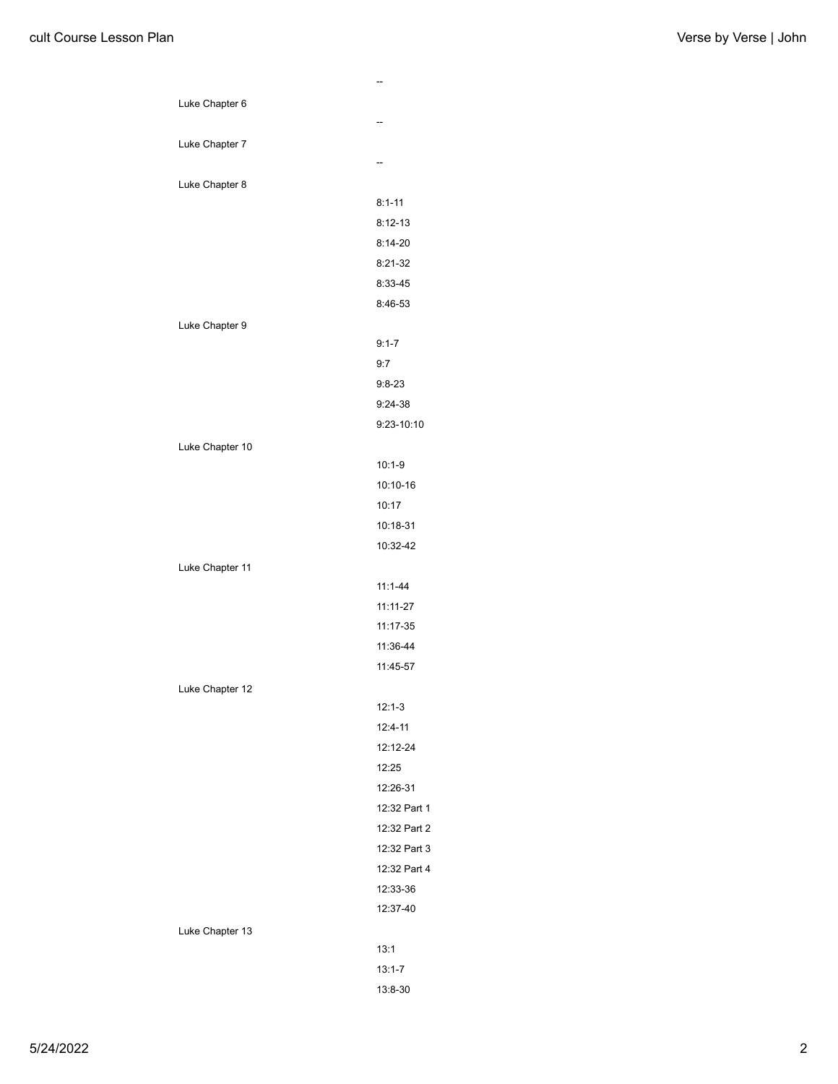|                 | --           |
|-----------------|--------------|
| Luke Chapter 6  |              |
|                 | --           |
| Luke Chapter 7  |              |
|                 | --           |
| Luke Chapter 8  |              |
|                 | $8:1 - 11$   |
|                 | $8:12-13$    |
|                 | $8:14-20$    |
|                 | 8:21-32      |
|                 | 8:33-45      |
|                 | 8:46-53      |
| Luke Chapter 9  |              |
|                 | $9:1 - 7$    |
|                 | 9:7          |
|                 | $9:8 - 23$   |
|                 | $9:24-38$    |
|                 | 9:23-10:10   |
| Luke Chapter 10 |              |
|                 | $10:1-9$     |
|                 | 10:10-16     |
|                 | 10:17        |
|                 | 10:18-31     |
|                 | 10:32-42     |
| Luke Chapter 11 |              |
|                 | $11:1 - 44$  |
|                 | $11:11-27$   |
|                 | 11:17-35     |
|                 | 11:36-44     |
|                 | 11:45-57     |
| Luke Chapter 12 |              |
|                 | $12:1-3$     |
|                 | $12:4 - 11$  |
|                 | 12:12-24     |
|                 | 12:25        |
|                 | 12:26-31     |
|                 | 12:32 Part 1 |
|                 | 12:32 Part 2 |
|                 | 12:32 Part 3 |
|                 | 12:32 Part 4 |
|                 | 12:33-36     |
|                 | 12:37-40     |
| Luke Chapter 13 |              |
|                 | 13:1         |
|                 | $13:1 - 7$   |
|                 | 13:8-30      |